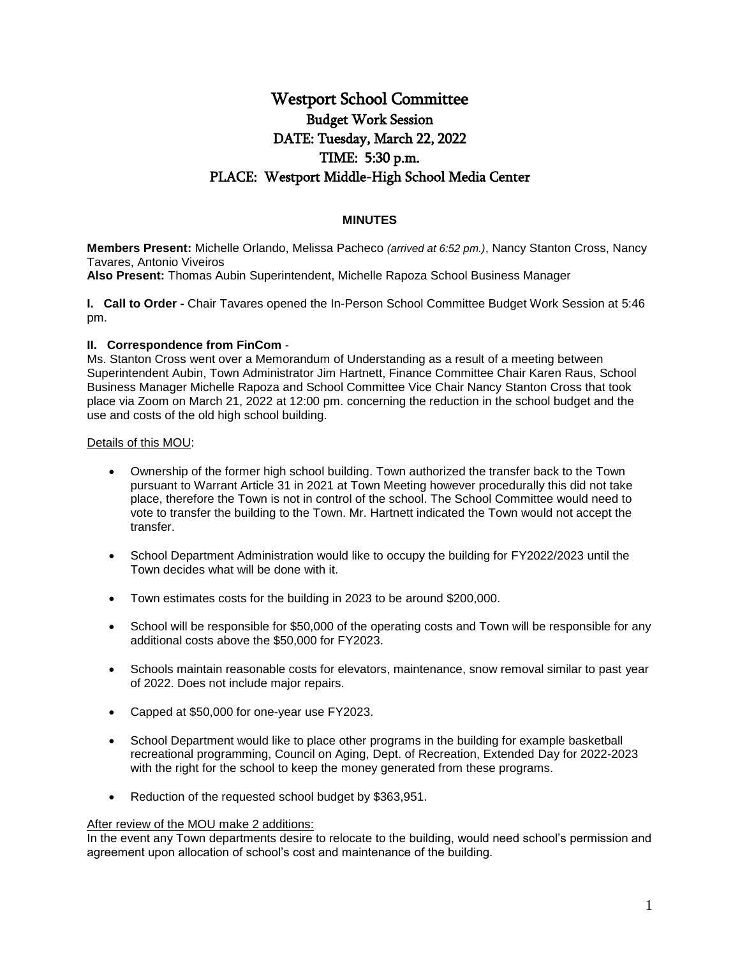# Westport School Committee Budget Work Session DATE: Tuesday, March 22, 2022 TIME: 5:30 p.m. PLACE: Westport Middle-High School Media Center

## **MINUTES**

**Members Present:** Michelle Orlando, Melissa Pacheco *(arrived at 6:52 pm.)*, Nancy Stanton Cross, Nancy Tavares, Antonio Viveiros

**Also Present:** Thomas Aubin Superintendent, Michelle Rapoza School Business Manager

**I. Call to Order -** Chair Tavares opened the In-Person School Committee Budget Work Session at 5:46 pm.

### **II. Correspondence from FinCom** -

Ms. Stanton Cross went over a Memorandum of Understanding as a result of a meeting between Superintendent Aubin, Town Administrator Jim Hartnett, Finance Committee Chair Karen Raus, School Business Manager Michelle Rapoza and School Committee Vice Chair Nancy Stanton Cross that took place via Zoom on March 21, 2022 at 12:00 pm. concerning the reduction in the school budget and the use and costs of the old high school building.

### Details of this MOU:

- Ownership of the former high school building. Town authorized the transfer back to the Town pursuant to Warrant Article 31 in 2021 at Town Meeting however procedurally this did not take place, therefore the Town is not in control of the school. The School Committee would need to vote to transfer the building to the Town. Mr. Hartnett indicated the Town would not accept the transfer.
- School Department Administration would like to occupy the building for FY2022/2023 until the Town decides what will be done with it.
- Town estimates costs for the building in 2023 to be around \$200,000.
- School will be responsible for \$50,000 of the operating costs and Town will be responsible for any additional costs above the \$50,000 for FY2023.
- Schools maintain reasonable costs for elevators, maintenance, snow removal similar to past year of 2022. Does not include major repairs.
- Capped at \$50,000 for one-year use FY2023.
- School Department would like to place other programs in the building for example basketball recreational programming, Council on Aging, Dept. of Recreation, Extended Day for 2022-2023 with the right for the school to keep the money generated from these programs.
- Reduction of the requested school budget by \$363,951.

### After review of the MOU make 2 additions:

In the event any Town departments desire to relocate to the building, would need school's permission and agreement upon allocation of school's cost and maintenance of the building.